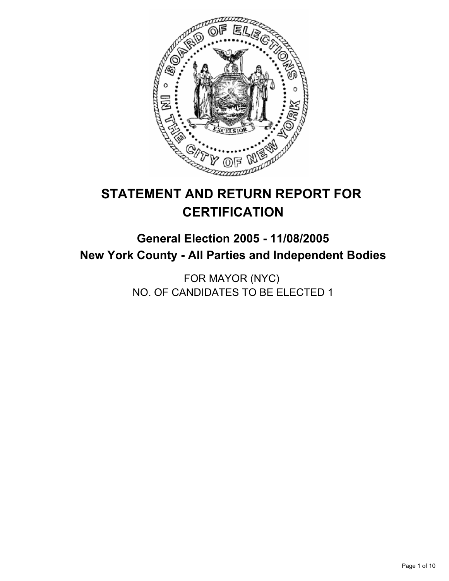

# **STATEMENT AND RETURN REPORT FOR CERTIFICATION**

## **General Election 2005 - 11/08/2005 New York County - All Parties and Independent Bodies**

FOR MAYOR (NYC) NO. OF CANDIDATES TO BE ELECTED 1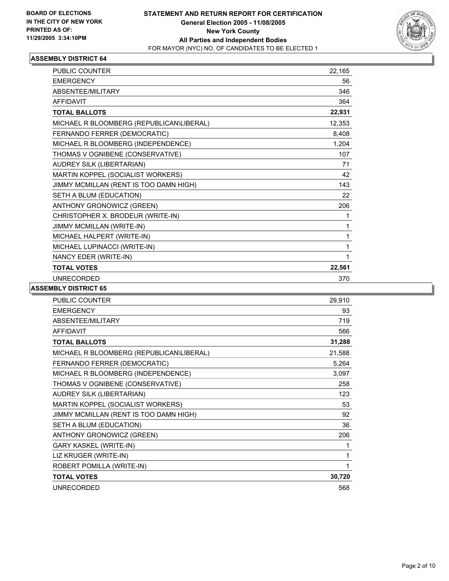

| <b>PUBLIC COUNTER</b>                    | 22,165 |  |
|------------------------------------------|--------|--|
| <b>EMERGENCY</b>                         | 56     |  |
| ABSENTEE/MILITARY                        | 346    |  |
| <b>AFFIDAVIT</b>                         | 364    |  |
| <b>TOTAL BALLOTS</b>                     | 22,931 |  |
| MICHAEL R BLOOMBERG (REPUBLICAN\LIBERAL) | 12,353 |  |
| FERNANDO FERRER (DEMOCRATIC)             | 8,408  |  |
| MICHAEL R BLOOMBERG (INDEPENDENCE)       | 1,204  |  |
| THOMAS V OGNIBENE (CONSERVATIVE)         | 107    |  |
| AUDREY SILK (LIBERTARIAN)                | 71     |  |
| MARTIN KOPPEL (SOCIALIST WORKERS)        | 42     |  |
| JIMMY MCMILLAN (RENT IS TOO DAMN HIGH)   | 143    |  |
| SETH A BLUM (EDUCATION)                  | 22     |  |
| ANTHONY GRONOWICZ (GREEN)                | 206    |  |
| CHRISTOPHER X. BRODEUR (WRITE-IN)        | 1      |  |
| JIMMY MCMILLAN (WRITE-IN)                | 1      |  |
| MICHAEL HALPERT (WRITE-IN)               |        |  |
| MICHAEL LUPINACCI (WRITE-IN)             | 1      |  |
| NANCY EDER (WRITE-IN)                    | 1      |  |
| <b>TOTAL VOTES</b>                       | 22,561 |  |
| <b>UNRECORDED</b>                        | 370    |  |

| <b>PUBLIC COUNTER</b>                    | 29,910 |
|------------------------------------------|--------|
| <b>EMERGENCY</b>                         | 93     |
| <b>ABSENTEE/MILITARY</b>                 | 719    |
| <b>AFFIDAVIT</b>                         | 566    |
| <b>TOTAL BALLOTS</b>                     | 31,288 |
| MICHAEL R BLOOMBERG (REPUBLICAN\LIBERAL) | 21,588 |
| FERNANDO FERRER (DEMOCRATIC)             | 5,264  |
| MICHAEL R BLOOMBERG (INDEPENDENCE)       | 3,097  |
| THOMAS V OGNIBENE (CONSERVATIVE)         | 258    |
| AUDREY SILK (LIBERTARIAN)                | 123    |
| MARTIN KOPPEL (SOCIALIST WORKERS)        | 53     |
| JIMMY MCMILLAN (RENT IS TOO DAMN HIGH)   | 92     |
| SETH A BLUM (EDUCATION)                  | 36     |
| ANTHONY GRONOWICZ (GREEN)                | 206    |
| <b>GARY KASKEL (WRITE-IN)</b>            |        |
| LIZ KRUGER (WRITE-IN)                    |        |
| ROBERT POMILLA (WRITE-IN)                |        |
| <b>TOTAL VOTES</b>                       | 30,720 |
| <b>UNRECORDED</b>                        | 568    |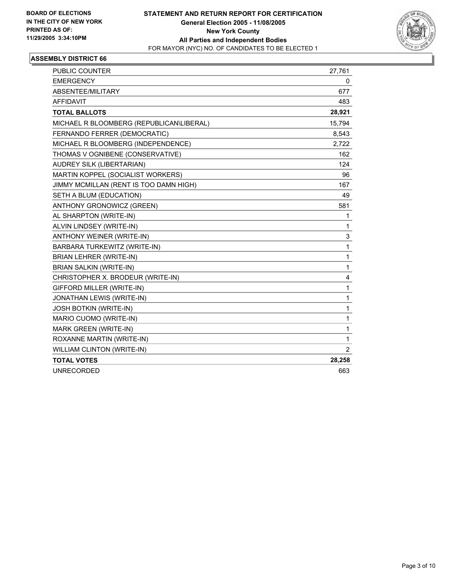

| PUBLIC COUNTER                           | 27,761         |
|------------------------------------------|----------------|
| <b>EMERGENCY</b>                         | 0              |
| ABSENTEE/MILITARY                        | 677            |
| AFFIDAVIT                                | 483            |
| <b>TOTAL BALLOTS</b>                     | 28,921         |
| MICHAEL R BLOOMBERG (REPUBLICAN\LIBERAL) | 15,794         |
| FERNANDO FERRER (DEMOCRATIC)             | 8,543          |
| MICHAEL R BLOOMBERG (INDEPENDENCE)       | 2,722          |
| THOMAS V OGNIBENE (CONSERVATIVE)         | 162            |
| AUDREY SILK (LIBERTARIAN)                | 124            |
| MARTIN KOPPEL (SOCIALIST WORKERS)        | 96             |
| JIMMY MCMILLAN (RENT IS TOO DAMN HIGH)   | 167            |
| SETH A BLUM (EDUCATION)                  | 49             |
| ANTHONY GRONOWICZ (GREEN)                | 581            |
| AL SHARPTON (WRITE-IN)                   | 1              |
| ALVIN LINDSEY (WRITE-IN)                 | 1              |
| ANTHONY WEINER (WRITE-IN)                | 3              |
| BARBARA TURKEWITZ (WRITE-IN)             | 1              |
| BRIAN LEHRER (WRITE-IN)                  | 1              |
| <b>BRIAN SALKIN (WRITE-IN)</b>           | 1              |
| CHRISTOPHER X. BRODEUR (WRITE-IN)        | 4              |
| GIFFORD MILLER (WRITE-IN)                | 1              |
| JONATHAN LEWIS (WRITE-IN)                | 1              |
| JOSH BOTKIN (WRITE-IN)                   | 1              |
| MARIO CUOMO (WRITE-IN)                   | 1              |
| MARK GREEN (WRITE-IN)                    | 1              |
| ROXANNE MARTIN (WRITE-IN)                | 1              |
| WILLIAM CLINTON (WRITE-IN)               | $\overline{2}$ |
| <b>TOTAL VOTES</b>                       | 28,258         |
| <b>UNRECORDED</b>                        | 663            |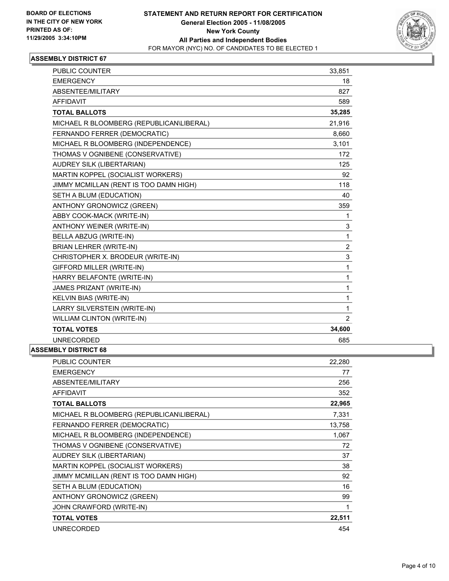

| PUBLIC COUNTER                           | 33,851         |  |
|------------------------------------------|----------------|--|
| <b>EMERGENCY</b>                         | 18             |  |
| ABSENTEE/MILITARY                        | 827            |  |
| <b>AFFIDAVIT</b>                         | 589            |  |
| <b>TOTAL BALLOTS</b>                     | 35,285         |  |
| MICHAEL R BLOOMBERG (REPUBLICAN\LIBERAL) | 21,916         |  |
| FERNANDO FERRER (DEMOCRATIC)             | 8,660          |  |
| MICHAEL R BLOOMBERG (INDEPENDENCE)       | 3,101          |  |
| THOMAS V OGNIBENE (CONSERVATIVE)         | 172            |  |
| <b>AUDREY SILK (LIBERTARIAN)</b>         | 125            |  |
| MARTIN KOPPEL (SOCIALIST WORKERS)        | 92             |  |
| JIMMY MCMILLAN (RENT IS TOO DAMN HIGH)   | 118            |  |
| SETH A BLUM (EDUCATION)                  | 40             |  |
| ANTHONY GRONOWICZ (GREEN)                | 359            |  |
| ABBY COOK-MACK (WRITE-IN)                | 1              |  |
| ANTHONY WEINER (WRITE-IN)                | 3              |  |
| <b>BELLA ABZUG (WRITE-IN)</b>            | $\mathbf{1}$   |  |
| <b>BRIAN LEHRER (WRITE-IN)</b>           | $\overline{2}$ |  |
| CHRISTOPHER X. BRODEUR (WRITE-IN)        | 3              |  |
| GIFFORD MILLER (WRITE-IN)                | 1              |  |
| HARRY BELAFONTE (WRITE-IN)               | 1              |  |
| JAMES PRIZANT (WRITE-IN)                 | 1              |  |
| KELVIN BIAS (WRITE-IN)                   | 1              |  |
| LARRY SILVERSTEIN (WRITE-IN)             | 1              |  |
| WILLIAM CLINTON (WRITE-IN)               | 2              |  |
| <b>TOTAL VOTES</b>                       | 34,600         |  |
| <b>UNRECORDED</b>                        | 685            |  |

| PUBLIC COUNTER                           | 22,280 |
|------------------------------------------|--------|
| <b>EMERGENCY</b>                         | 77     |
| ABSENTEE/MILITARY                        | 256    |
| <b>AFFIDAVIT</b>                         | 352    |
| <b>TOTAL BALLOTS</b>                     | 22,965 |
| MICHAEL R BLOOMBERG (REPUBLICAN\LIBERAL) | 7,331  |
| FERNANDO FERRER (DEMOCRATIC)             | 13,758 |
| MICHAEL R BLOOMBERG (INDEPENDENCE)       | 1,067  |
| THOMAS V OGNIBENE (CONSERVATIVE)         | 72     |
| AUDREY SILK (LIBERTARIAN)                | 37     |
| MARTIN KOPPEL (SOCIALIST WORKERS)        | 38     |
| JIMMY MCMILLAN (RENT IS TOO DAMN HIGH)   | 92     |
| SETH A BLUM (EDUCATION)                  | 16     |
| ANTHONY GRONOWICZ (GREEN)                | 99     |
| JOHN CRAWFORD (WRITE-IN)                 | 1      |
| <b>TOTAL VOTES</b>                       | 22,511 |
| <b>UNRECORDED</b>                        | 454    |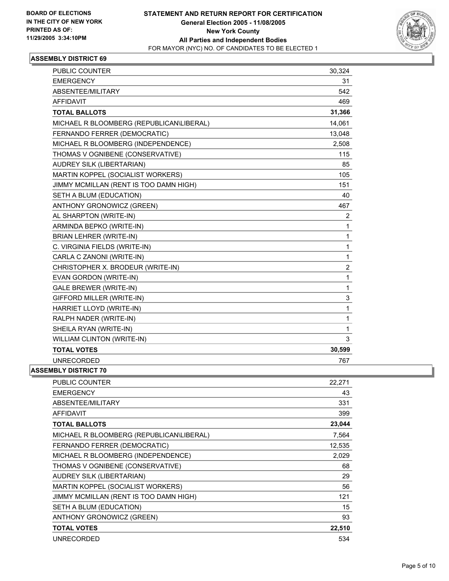

| PUBLIC COUNTER                           | 30,324           |
|------------------------------------------|------------------|
| <b>EMERGENCY</b>                         | 31               |
| ABSENTEE/MILITARY                        | 542              |
| <b>AFFIDAVIT</b>                         | 469              |
| <b>TOTAL BALLOTS</b>                     | 31,366           |
| MICHAEL R BLOOMBERG (REPUBLICAN\LIBERAL) | 14,061           |
| FERNANDO FERRER (DEMOCRATIC)             | 13,048           |
| MICHAEL R BLOOMBERG (INDEPENDENCE)       | 2,508            |
| THOMAS V OGNIBENE (CONSERVATIVE)         | 115              |
| AUDREY SILK (LIBERTARIAN)                | 85               |
| MARTIN KOPPEL (SOCIALIST WORKERS)        | 105              |
| JIMMY MCMILLAN (RENT IS TOO DAMN HIGH)   | 151              |
| SETH A BLUM (EDUCATION)                  | 40               |
| ANTHONY GRONOWICZ (GREEN)                | 467              |
| AL SHARPTON (WRITE-IN)                   | 2                |
| ARMINDA BEPKO (WRITE-IN)                 | 1                |
| BRIAN LEHRER (WRITE-IN)                  | 1                |
| C. VIRGINIA FIELDS (WRITE-IN)            | 1                |
| CARLA C ZANONI (WRITE-IN)                | $\mathbf{1}$     |
| CHRISTOPHER X. BRODEUR (WRITE-IN)        | $\boldsymbol{2}$ |
| EVAN GORDON (WRITE-IN)                   | 1                |
| <b>GALE BREWER (WRITE-IN)</b>            | 1                |
| GIFFORD MILLER (WRITE-IN)                | 3                |
| HARRIET LLOYD (WRITE-IN)                 | 1                |
| RALPH NADER (WRITE-IN)                   | 1                |
| SHEILA RYAN (WRITE-IN)                   | 1                |
| WILLIAM CLINTON (WRITE-IN)               | 3                |
| <b>TOTAL VOTES</b>                       | 30,599           |
| <b>UNRECORDED</b>                        | 767              |

| <b>PUBLIC COUNTER</b>                    | 22,271 |
|------------------------------------------|--------|
| <b>EMERGENCY</b>                         | 43     |
| ABSENTEE/MILITARY                        | 331    |
| <b>AFFIDAVIT</b>                         | 399    |
| <b>TOTAL BALLOTS</b>                     | 23,044 |
| MICHAEL R BLOOMBERG (REPUBLICAN\LIBERAL) | 7.564  |
| FERNANDO FERRER (DEMOCRATIC)             | 12,535 |
| MICHAEL R BLOOMBERG (INDEPENDENCE)       | 2,029  |
| THOMAS V OGNIBENE (CONSERVATIVE)         | 68     |
| <b>AUDREY SILK (LIBERTARIAN)</b>         | 29     |
| MARTIN KOPPEL (SOCIALIST WORKERS)        | 56     |
| JIMMY MCMILLAN (RENT IS TOO DAMN HIGH)   | 121    |
| SETH A BLUM (EDUCATION)                  | 15     |
| ANTHONY GRONOWICZ (GREEN)                | 93     |
| <b>TOTAL VOTES</b>                       | 22,510 |
| <b>UNRECORDED</b>                        | 534    |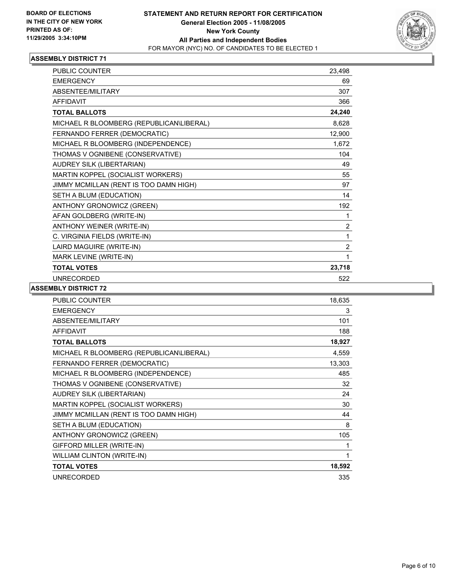

| <b>PUBLIC COUNTER</b>                    | 23,498         |  |
|------------------------------------------|----------------|--|
| <b>EMERGENCY</b>                         | 69             |  |
| ABSENTEE/MILITARY                        | 307            |  |
| <b>AFFIDAVIT</b>                         | 366            |  |
| <b>TOTAL BALLOTS</b>                     | 24,240         |  |
| MICHAEL R BLOOMBERG (REPUBLICAN\LIBERAL) | 8,628          |  |
| FERNANDO FERRER (DEMOCRATIC)             | 12,900         |  |
| MICHAEL R BLOOMBERG (INDEPENDENCE)       | 1,672          |  |
| THOMAS V OGNIBENE (CONSERVATIVE)         | 104            |  |
| AUDREY SILK (LIBERTARIAN)                | 49             |  |
| MARTIN KOPPEL (SOCIALIST WORKERS)        | 55             |  |
| JIMMY MCMILLAN (RENT IS TOO DAMN HIGH)   | 97             |  |
| SETH A BLUM (EDUCATION)                  | 14             |  |
| ANTHONY GRONOWICZ (GREEN)                | 192            |  |
| AFAN GOLDBERG (WRITE-IN)                 | 1              |  |
| ANTHONY WEINER (WRITE-IN)                | $\overline{2}$ |  |
| C. VIRGINIA FIELDS (WRITE-IN)            | 1              |  |
| LAIRD MAGUIRE (WRITE-IN)                 | $\overline{2}$ |  |
| MARK LEVINE (WRITE-IN)                   | 1              |  |
| <b>TOTAL VOTES</b>                       | 23,718         |  |
| <b>UNRECORDED</b>                        | 522            |  |

| PUBLIC COUNTER                           | 18,635 |
|------------------------------------------|--------|
| <b>EMERGENCY</b>                         | 3      |
| <b>ABSENTEE/MILITARY</b>                 | 101    |
| <b>AFFIDAVIT</b>                         | 188    |
| <b>TOTAL BALLOTS</b>                     | 18,927 |
| MICHAEL R BLOOMBERG (REPUBLICAN\LIBERAL) | 4,559  |
| FERNANDO FERRER (DEMOCRATIC)             | 13,303 |
| MICHAEL R BLOOMBERG (INDEPENDENCE)       | 485    |
| THOMAS V OGNIBENE (CONSERVATIVE)         | 32     |
| AUDREY SILK (LIBERTARIAN)                | 24     |
| MARTIN KOPPEL (SOCIALIST WORKERS)        | 30     |
| JIMMY MCMILLAN (RENT IS TOO DAMN HIGH)   | 44     |
| SETH A BLUM (EDUCATION)                  | 8      |
| ANTHONY GRONOWICZ (GREEN)                | 105    |
| GIFFORD MILLER (WRITE-IN)                |        |
| <b>WILLIAM CLINTON (WRITE-IN)</b>        |        |
| <b>TOTAL VOTES</b>                       | 18,592 |
| <b>UNRECORDED</b>                        | 335    |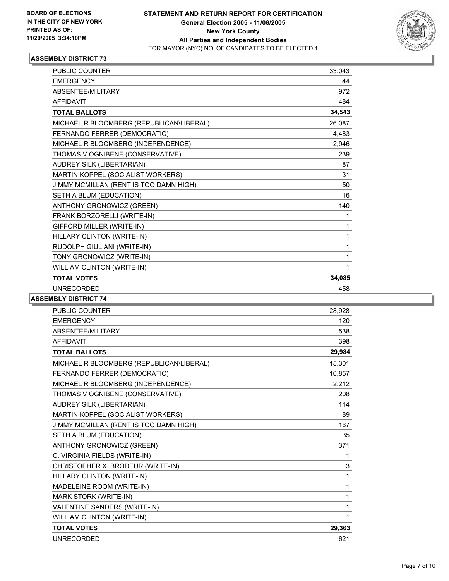

| PUBLIC COUNTER                           | 33,043 |
|------------------------------------------|--------|
| <b>EMERGENCY</b>                         | 44     |
| ABSENTEE/MILITARY                        | 972    |
| <b>AFFIDAVIT</b>                         | 484    |
| <b>TOTAL BALLOTS</b>                     | 34,543 |
| MICHAEL R BLOOMBERG (REPUBLICAN\LIBERAL) | 26,087 |
| FERNANDO FERRER (DEMOCRATIC)             | 4,483  |
| MICHAEL R BLOOMBERG (INDEPENDENCE)       | 2,946  |
| THOMAS V OGNIBENE (CONSERVATIVE)         | 239    |
| <b>AUDREY SILK (LIBERTARIAN)</b>         | 87     |
| MARTIN KOPPEL (SOCIALIST WORKERS)        | 31     |
| JIMMY MCMILLAN (RENT IS TOO DAMN HIGH)   | 50     |
| SETH A BLUM (EDUCATION)                  | 16     |
| ANTHONY GRONOWICZ (GREEN)                | 140    |
| FRANK BORZORELLI (WRITE-IN)              | 1      |
| GIFFORD MILLER (WRITE-IN)                | 1      |
| HILLARY CLINTON (WRITE-IN)               | 1      |
| RUDOLPH GIULIANI (WRITE-IN)              | 1      |
| TONY GRONOWICZ (WRITE-IN)                | 1      |
| WILLIAM CLINTON (WRITE-IN)               |        |
| <b>TOTAL VOTES</b>                       | 34,085 |
| <b>UNRECORDED</b>                        | 458    |

| <b>PUBLIC COUNTER</b>                    | 28,928      |
|------------------------------------------|-------------|
| <b>EMERGENCY</b>                         | 120         |
| ABSENTEE/MILITARY                        | 538         |
| <b>AFFIDAVIT</b>                         | 398         |
| <b>TOTAL BALLOTS</b>                     | 29,984      |
| MICHAEL R BLOOMBERG (REPUBLICAN\LIBERAL) | 15,301      |
| FERNANDO FERRER (DEMOCRATIC)             | 10,857      |
| MICHAEL R BLOOMBERG (INDEPENDENCE)       | 2,212       |
| THOMAS V OGNIBENE (CONSERVATIVE)         | 208         |
| AUDREY SILK (LIBERTARIAN)                | 114         |
| MARTIN KOPPEL (SOCIALIST WORKERS)        | 89          |
| JIMMY MCMILLAN (RENT IS TOO DAMN HIGH)   | 167         |
| SETH A BLUM (EDUCATION)                  | 35          |
| ANTHONY GRONOWICZ (GREEN)                | 371         |
| C. VIRGINIA FIELDS (WRITE-IN)            | 1           |
| CHRISTOPHER X. BRODEUR (WRITE-IN)        | $\mathsf 3$ |
| HILLARY CLINTON (WRITE-IN)               | 1           |
| MADELEINE ROOM (WRITE-IN)                | 1           |
| MARK STORK (WRITE-IN)                    | 1           |
| VALENTINE SANDERS (WRITE-IN)             | 1           |
| WILLIAM CLINTON (WRITE-IN)               | 1           |
| <b>TOTAL VOTES</b>                       | 29,363      |
| <b>UNRECORDED</b>                        | 621         |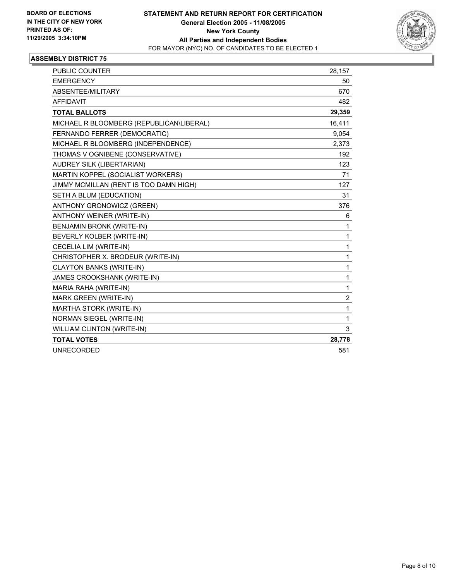

| <b>PUBLIC COUNTER</b>                    | 28,157         |
|------------------------------------------|----------------|
| <b>EMERGENCY</b>                         | 50             |
| ABSENTEE/MILITARY                        | 670            |
| <b>AFFIDAVIT</b>                         | 482            |
| <b>TOTAL BALLOTS</b>                     | 29,359         |
| MICHAEL R BLOOMBERG (REPUBLICAN\LIBERAL) | 16,411         |
| FERNANDO FERRER (DEMOCRATIC)             | 9,054          |
| MICHAEL R BLOOMBERG (INDEPENDENCE)       | 2,373          |
| THOMAS V OGNIBENE (CONSERVATIVE)         | 192            |
| <b>AUDREY SILK (LIBERTARIAN)</b>         | 123            |
| MARTIN KOPPEL (SOCIALIST WORKERS)        | 71             |
| JIMMY MCMILLAN (RENT IS TOO DAMN HIGH)   | 127            |
| SETH A BLUM (EDUCATION)                  | 31             |
| <b>ANTHONY GRONOWICZ (GREEN)</b>         | 376            |
| ANTHONY WEINER (WRITE-IN)                | 6              |
| <b>BENJAMIN BRONK (WRITE-IN)</b>         | 1              |
| BEVERLY KOLBER (WRITE-IN)                | 1              |
| CECELIA LIM (WRITE-IN)                   | 1              |
| CHRISTOPHER X. BRODEUR (WRITE-IN)        | 1              |
| <b>CLAYTON BANKS (WRITE-IN)</b>          | 1              |
| JAMES CROOKSHANK (WRITE-IN)              | 1              |
| MARIA RAHA (WRITE-IN)                    | 1              |
| MARK GREEN (WRITE-IN)                    | $\overline{2}$ |
| MARTHA STORK (WRITE-IN)                  | 1              |
| NORMAN SIEGEL (WRITE-IN)                 | 1              |
| <b>WILLIAM CLINTON (WRITE-IN)</b>        | 3              |
| <b>TOTAL VOTES</b>                       | 28,778         |
| <b>UNRECORDED</b>                        | 581            |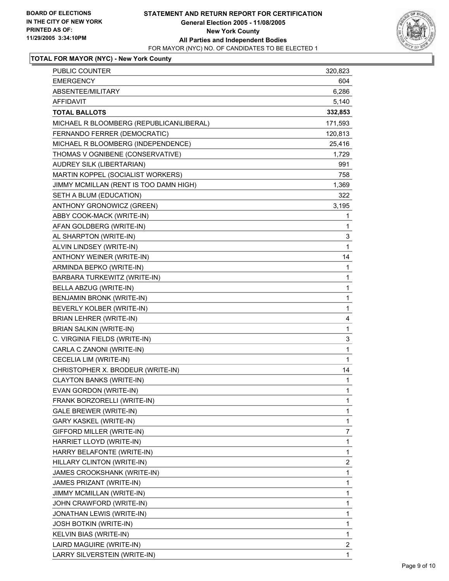

## **TOTAL FOR MAYOR (NYC) - New York County**

| PUBLIC COUNTER                           | 320,823                   |
|------------------------------------------|---------------------------|
| <b>EMERGENCY</b>                         | 604                       |
| ABSENTEE/MILITARY                        | 6,286                     |
| AFFIDAVIT                                | 5,140                     |
| <b>TOTAL BALLOTS</b>                     | 332,853                   |
| MICHAEL R BLOOMBERG (REPUBLICAN\LIBERAL) | 171,593                   |
| FERNANDO FERRER (DEMOCRATIC)             | 120,813                   |
| MICHAEL R BLOOMBERG (INDEPENDENCE)       | 25,416                    |
| THOMAS V OGNIBENE (CONSERVATIVE)         | 1,729                     |
| AUDREY SILK (LIBERTARIAN)                | 991                       |
| MARTIN KOPPEL (SOCIALIST WORKERS)        | 758                       |
| JIMMY MCMILLAN (RENT IS TOO DAMN HIGH)   | 1,369                     |
| SETH A BLUM (EDUCATION)                  | 322                       |
| ANTHONY GRONOWICZ (GREEN)                | 3,195                     |
| ABBY COOK-MACK (WRITE-IN)                | 1                         |
| AFAN GOLDBERG (WRITE-IN)                 | 1                         |
| AL SHARPTON (WRITE-IN)                   | $\ensuremath{\mathsf{3}}$ |
| ALVIN LINDSEY (WRITE-IN)                 | 1                         |
| ANTHONY WEINER (WRITE-IN)                | 14                        |
| ARMINDA BEPKO (WRITE-IN)                 | $\mathbf{1}$              |
| BARBARA TURKEWITZ (WRITE-IN)             | 1                         |
| BELLA ABZUG (WRITE-IN)                   | $\mathbf 1$               |
| BENJAMIN BRONK (WRITE-IN)                | 1                         |
| BEVERLY KOLBER (WRITE-IN)                | 1                         |
| BRIAN LEHRER (WRITE-IN)                  | 4                         |
| BRIAN SALKIN (WRITE-IN)                  | $\mathbf 1$               |
| C. VIRGINIA FIELDS (WRITE-IN)            | 3                         |
| CARLA C ZANONI (WRITE-IN)                | $\mathbf 1$               |
| CECELIA LIM (WRITE-IN)                   | 1                         |
| CHRISTOPHER X. BRODEUR (WRITE-IN)        | 14                        |
| <b>CLAYTON BANKS (WRITE-IN)</b>          | 1                         |
| EVAN GORDON (WRITE-IN)                   | 1                         |
| FRANK BORZORELLI (WRITE-IN)              | 1                         |
| <b>GALE BREWER (WRITE-IN)</b>            | 1                         |
| <b>GARY KASKEL (WRITE-IN)</b>            | 1                         |
| GIFFORD MILLER (WRITE-IN)                | 7                         |
| HARRIET LLOYD (WRITE-IN)                 | 1                         |
| HARRY BELAFONTE (WRITE-IN)               | $\mathbf 1$               |
| HILLARY CLINTON (WRITE-IN)               | $\overline{\mathbf{c}}$   |
| JAMES CROOKSHANK (WRITE-IN)              | 1                         |
| JAMES PRIZANT (WRITE-IN)                 | 1                         |
| JIMMY MCMILLAN (WRITE-IN)                | 1                         |
| JOHN CRAWFORD (WRITE-IN)                 | 1                         |
| JONATHAN LEWIS (WRITE-IN)                | 1                         |
| <b>JOSH BOTKIN (WRITE-IN)</b>            | 1                         |
| KELVIN BIAS (WRITE-IN)                   | $\mathbf 1$               |
| LAIRD MAGUIRE (WRITE-IN)                 | $\mathbf 2$               |
| LARRY SILVERSTEIN (WRITE-IN)             | 1                         |
|                                          |                           |